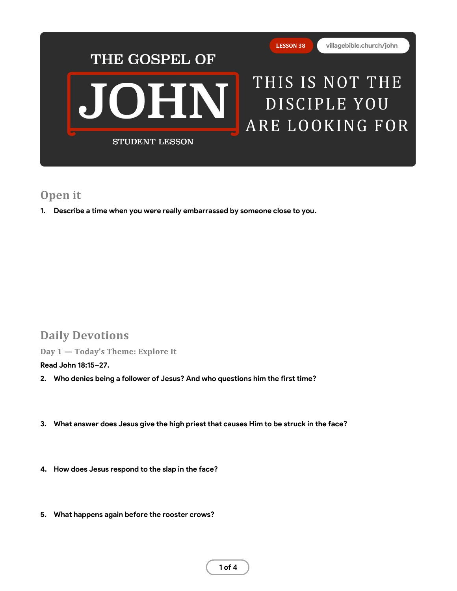

# **Open it**

**1. Describe a time when you were really embarrassed by someone close to you.**

# **Daily Devotions**

**Day 1 — Today's Theme: Explore It**

**Read John 18:15–27.**

- **2. Who denies being a follower of Jesus? And who questions him the first time?**
- **3. What answer does Jesus give the high priest that causes Him to be struck in the face?**
- **4. How does Jesus respond to the slap in the face?**
- **5. What happens again before the rooster crows?**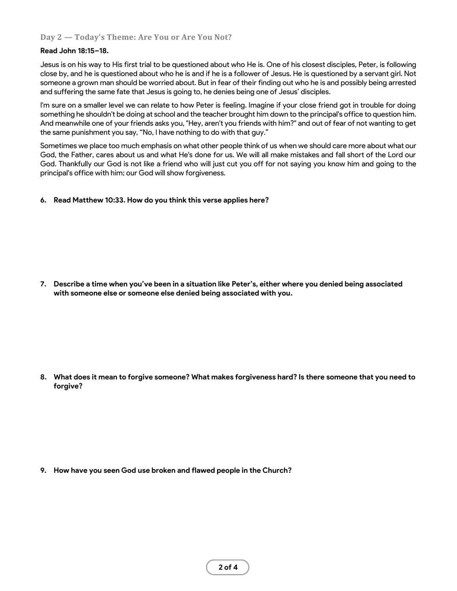# **Day 2 — Today's Theme: Are You or Are You Not?**

### **Read John 18:15–18.**

Jesus is on his way to His first trial to be questioned about who He is. One of his closest disciples, Peter, is following close by, and he is questioned about who he is and if he is a follower of Jesus. He is questioned by a servant girl. Not someone a grown man should be worried about. But in fear of their finding out who he is and possibly being arrested and suffering the same fate that Jesus is going to, he denies being one of Jesus' disciples.

I'm sure on a smaller level we can relate to how Peter is feeling. Imagine if your close friend got in trouble for doing something he shouldn't be doing at school and the teacher brought him down to the principal's office to question him. And meanwhile one of your friends asks you, "Hey, aren't you friends with him?" and out of fear of not wanting to get the same punishment you say, "No, I have nothing to do with that guy."

Sometimes we place too much emphasis on what other people think of us when we should care more about what our God, the Father, cares about us and what He's done for us. We will all make mistakes and fall short of the Lord our God. Thankfully our God is not like a friend who will just cut you off for not saying you know him and going to the principal's office with him; our God will show forgiveness.

## **6. Read Matthew 10:33. How do you think this verse applies here?**

**7. Describe a time when you've been in a situation like Peter's, either where you denied being associated with someone else or someone else denied being associated with you.**

**8. What does it mean to forgive someone? What makes forgiveness hard? Is there someone that you need to forgive?**

**9. How have you seen God use broken and flawed people in the Church?**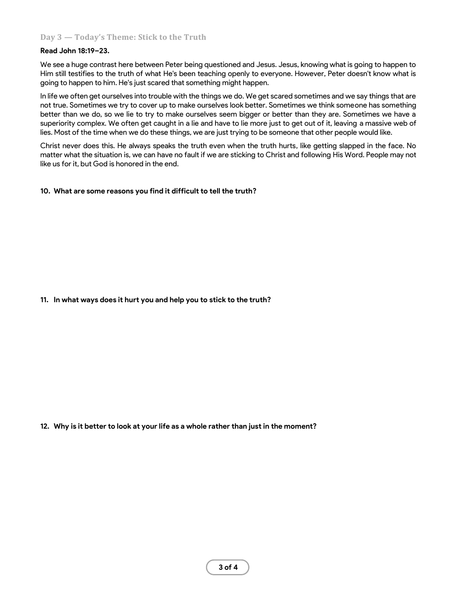# **Day 3 — Today's Theme: Stick to the Truth**

#### **Read John 18:19–23.**

We see a huge contrast here between Peter being questioned and Jesus. Jesus, knowing what is going to happen to Him still testifies to the truth of what He's been teaching openly to everyone. However, Peter doesn't know what is going to happen to him. He's just scared that something might happen.

In life we often get ourselves into trouble with the things we do. We get scared sometimes and we say things that are not true. Sometimes we try to cover up to make ourselves look better. Sometimes we think someone has something better than we do, so we lie to try to make ourselves seem bigger or better than they are. Sometimes we have a superiority complex. We often get caught in a lie and have to lie more just to get out of it, leaving a massive web of lies. Most of the time when we do these things, we are just trying to be someone that other people would like.

Christ never does this. He always speaks the truth even when the truth hurts, like getting slapped in the face. No matter what the situation is, we can have no fault if we are sticking to Christ and following His Word. People may not like us for it, but God is honored in the end.

#### **10. What are some reasons you find it difficult to tell the truth?**

### **11. In what ways does it hurt you and help you to stick to the truth?**

**12. Why is it better to look at your life as a whole rather than just in the moment?**